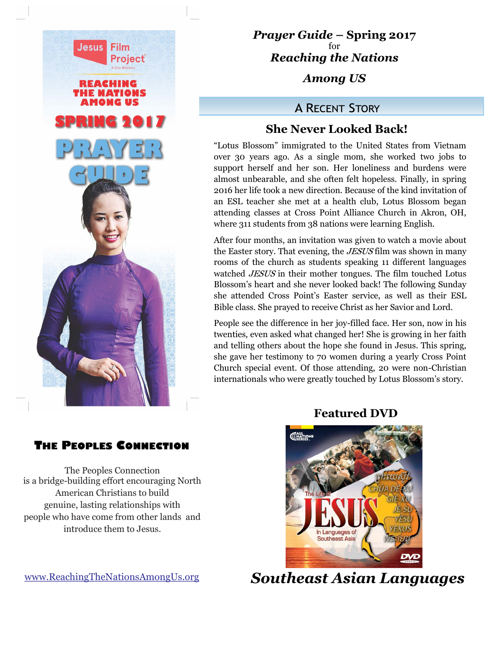

*Prayer Guide* **– Spring 2017** for *Reaching the Nations* 

*Among US*

## **A RECENT STORY**

## **She Never Looked Back!**

"Lotus Blossom" immigrated to the United States from Vietnam over 30 years ago. As a single mom, she worked two jobs to support herself and her son. Her loneliness and burdens were almost unbearable, and she often felt hopeless. Finally, in spring 2016 her life took a new direction. Because of the kind invitation of an ESL teacher she met at a health club, Lotus Blossom began attending classes at Cross Point Alliance Church in Akron, OH, where 311 students from 38 nations were learning English.

After four months, an invitation was given to watch a movie about the Easter story. That evening, the *JESUS* film was shown in many rooms of the church as students speaking 11 different languages watched JESUS in their mother tongues. The film touched Lotus Blossom's heart and she never looked back! The following Sunday she attended Cross Point's Easter service, as well as their ESL Bible class. She prayed to receive Christ as her Savior and Lord.

People see the difference in her joy-filled face. Her son, now in his twenties, even asked what changed her! She is growing in her faith and telling others about the hope she found in Jesus. This spring, she gave her testimony to 70 women during a yearly Cross Point Church special event. Of those attending, 20 were non-Christian internationals who were greatly touched by Lotus Blossom's story.

## **Featured DVD**



 *Southeast Asian Languages*

## **THE PEOPLES CONNECTION**

The Peoples Connection is a bridge-building effort encouraging North American Christians to build genuine, lasting relationships with people who have come from other lands and introduce them to Jesus.

www.ReachingTheNationsAmongUs.org